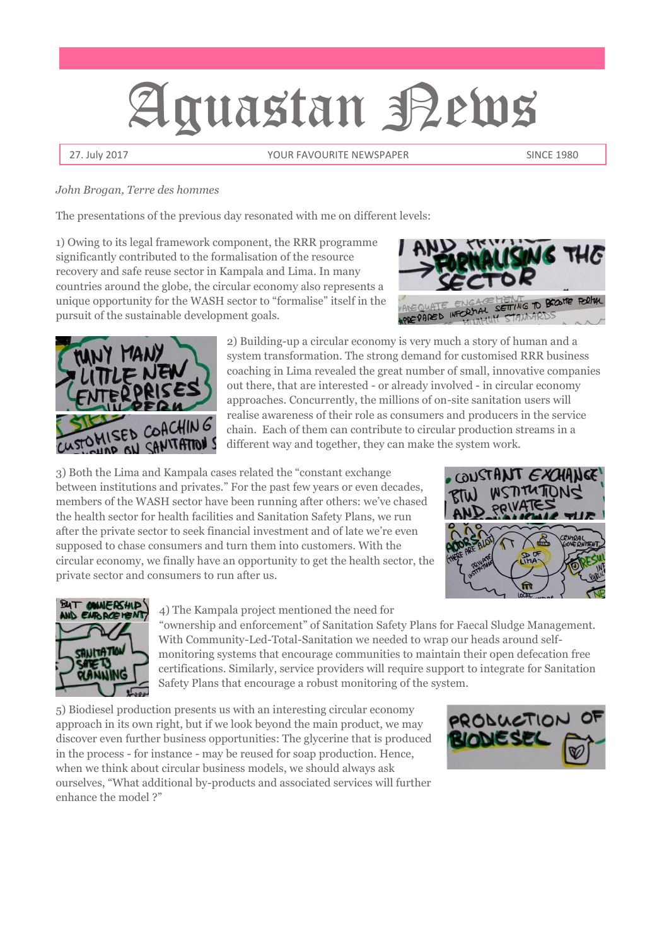# Aguastan Pews

27. July 2017 **The State State Server State State State State State State State State State State State State State State State State State State State State State State State State State State State State State State Stat** 

#### *John Brogan, Terre des hommes*

The presentations of the previous day resonated with me on different levels:

1) Owing to its legal framework component, the RRR programme significantly contributed to the formalisation of the resource recovery and safe reuse sector in Kampala and Lima. In many countries around the globe, the circular economy also represents a unique opportunity for the WASH sector to "formalise" itself in the pursuit of the sustainable development goals.





2) Building-up a circular economy is very much a story of human and a system transformation. The strong demand for customised RRR business coaching in Lima revealed the great number of small, innovative companies out there, that are interested - or already involved - in circular economy approaches. Concurrently, the millions of on-site sanitation users will realise awareness of their role as consumers and producers in the service chain. Each of them can contribute to circular production streams in a different way and together, they can make the system work.

3) Both the Lima and Kampala cases related the "constant exchange between institutions and privates." For the past few years or even decades, members of the WASH sector have been running after others: we've chased the health sector for health facilities and Sanitation Safety Plans, we run after the private sector to seek financial investment and of late we're even supposed to chase consumers and turn them into customers. With the circular economy, we finally have an opportunity to get the health sector, the private sector and consumers to run after us.





4) The Kampala project mentioned the need for

"ownership and enforcement" of Sanitation Safety Plans for Faecal Sludge Management. With Community-Led-Total-Sanitation we needed to wrap our heads around selfmonitoring systems that encourage communities to maintain their open defecation free certifications. Similarly, service providers will require support to integrate for Sanitation Safety Plans that encourage a robust monitoring of the system.

5) Biodiesel production presents us with an interesting circular economy approach in its own right, but if we look beyond the main product, we may discover even further business opportunities: The glycerine that is produced in the process - for instance - may be reused for soap production. Hence, when we think about circular business models, we should always ask ourselves, "What additional by-products and associated services will further enhance the model ?"

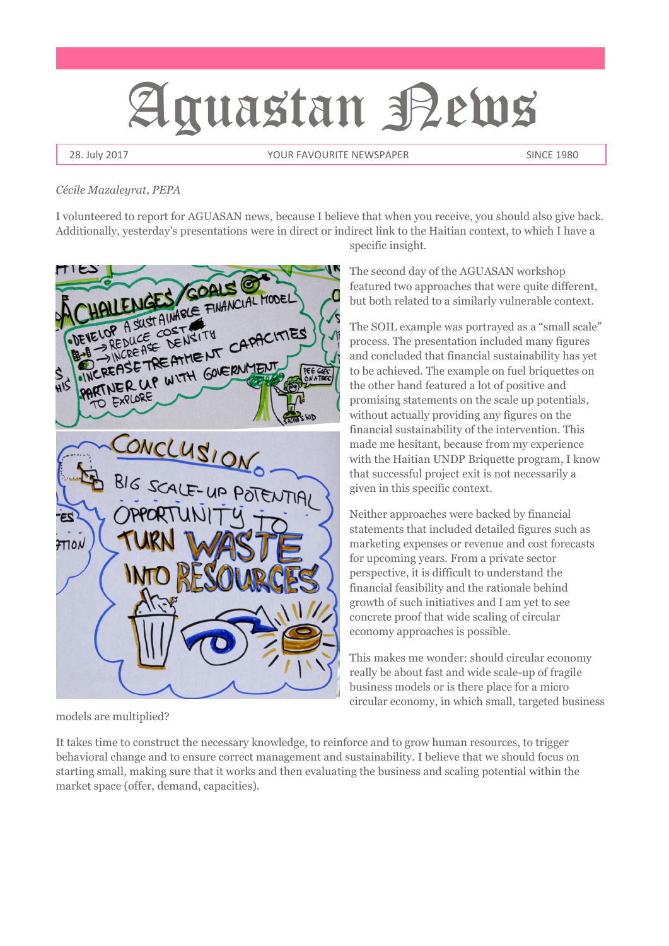# Aguastan Pews

28. July 2017 **The State of the State State of the State of Taylor State State State State State 1980** 

#### *Cécile Mazaleyrat, PEPA*

I volunteered to report for AGUASAN news, because I believe that when you receive, you should also give back. Additionally, yesterday's presentations were in direct or indirect link to the Haitian context, to which I have a



models are multiplied?

It takes time to construct the necessary knowledge, to reinforce and to grow human resources, to trigger behavioral change and to ensure correct management and sustainability. I believe that we should focus on starting small, making sure that it works and then evaluating the business and scaling potential within the market space (offer, demand, capacities).

specific insight. The second day of the AGUASAN workshop

featured two approaches that were quite different, but both related to a similarly vulnerable context.

The SOIL example was portrayed as a "small scale" process. The presentation included many figures and concluded that financial sustainability has yet to be achieved. The example on fuel briquettes on the other hand featured a lot of positive and promising statements on the scale up potentials, without actually providing any figures on the financial sustainability of the intervention. This made me hesitant, because from my experience with the Haitian UNDP Briquette program, I know that successful project exit is not necessarily a given in this specific context.

Neither approaches were backed by financial statements that included detailed figures such as marketing expenses or revenue and cost forecasts for upcoming years. From a private sector perspective, it is difficult to understand the financial feasibility and the rationale behind growth of such initiatives and I am yet to see concrete proof that wide scaling of circular economy approaches is possible.

This makes me wonder: should circular economy really be about fast and wide scale-up of fragile business models or is there place for a micro circular economy, in which small, targeted business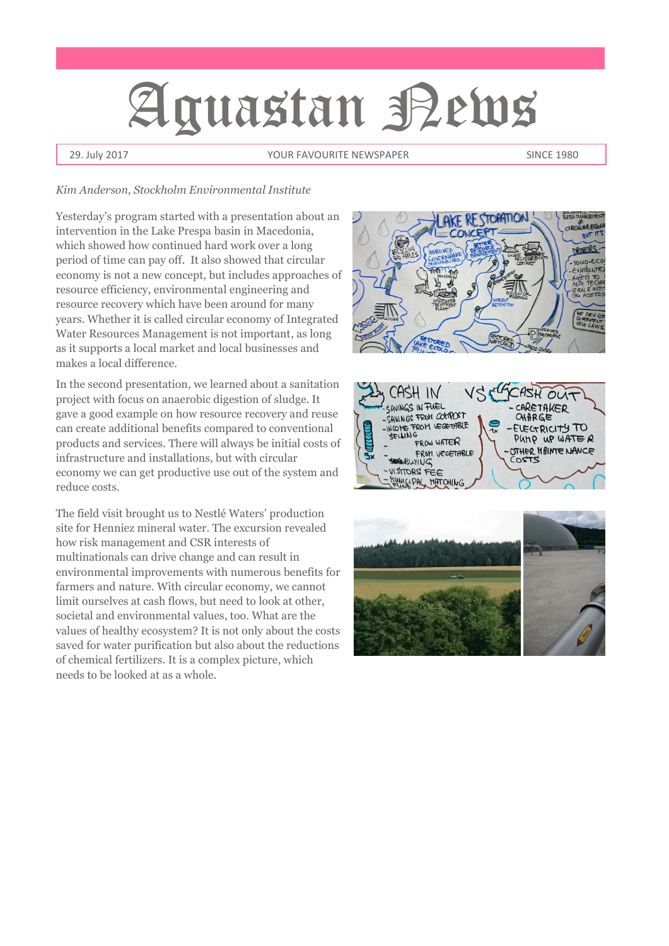# Aguastan Pems

29. July 2017 **The State of the State State of the State of Taylor State State State State State 1980** 

#### *Kim Anderson, Stockholm Environmental Institute*

Yesterday's program started with a presentation about an intervention in the Lake Prespa basin in Macedonia, which showed how continued hard work over a long period of time can pay off. It also showed that circular economy is not a new concept, but includes approaches of resource efficiency, environmental engineering and resource recovery which have been around for many years. Whether it is called circular economy of Integrated Water Resources Management is not important, as long as it supports a local market and local businesses and makes a local difference.

In the second presentation, we learned about a sanitation project with focus on anaerobic digestion of sludge. It gave a good example on how resource recovery and reuse can create additional benefits compared to conventional products and services. There will always be initial costs of infrastructure and installations, but with circular economy we can get productive use out of the system and reduce costs.

The field visit brought us to Nestlé Waters' production site for Henniez mineral water. The excursion revealed how risk management and CSR interests of multinationals can drive change and can result in environmental improvements with numerous benefits for farmers and nature. With circular economy, we cannot limit ourselves at cash flows, but need to look at other, societal and environmental values, too. What are the values of healthy ecosystem? It is not only about the costs saved for water purification but also about the reductions of chemical fertilizers. It is a complex picture, which needs to be looked at as a whole.